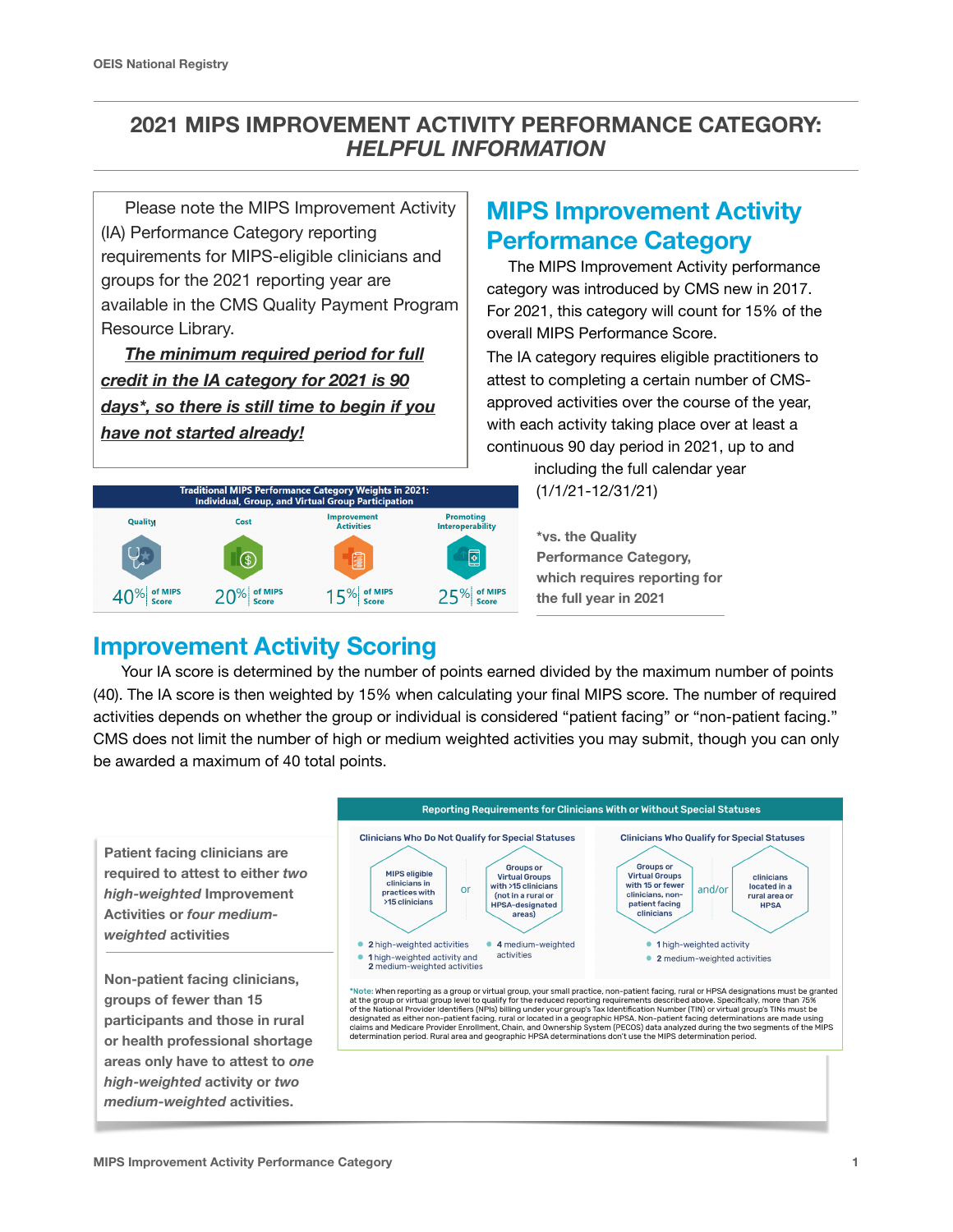### **2021 MIPS IMPROVEMENT ACTIVITY PERFORMANCE CATEGORY:**  *HELPFUL INFORMATION*

 Please note the MIPS Improvement Activity (IA) Performance Category reporting requirements for MIPS-eligible clinicians and groups for the 2021 reporting year are available in the CMS Quality Payment Program Resource Library.

 *The minimum required period for full credit in the IA category for 2021 is 90 days\*, so there is still time to begin if you have not started already!* 



# **MIPS Improvement Activity Performance Category**

 The MIPS Improvement Activity performance category was introduced by CMS new in 2017. For 2021, this category will count for 15% of the overall MIPS Performance Score.

The IA category requires eligible practitioners to attest to completing a certain number of CMSapproved activities over the course of the year, with each activity taking place over at least a continuous 90 day period in 2021, up to and

> including the full calendar year (1/1/21-12/31/21)

**\*vs. the Quality Performance Category, which requires reporting for the full year in 2021**

## **Improvement Activity Scoring**

Your IA score is determined by the number of points earned divided by the maximum number of points (40). The IA score is then weighted by 15% when calculating your final MIPS score. The number of required activities depends on whether the group or individual is considered "patient facing" or "non-patient facing." CMS does not limit the number of high or medium weighted activities you may submit, though you can only be awarded a maximum of 40 total points.

**Patient facing clinicians are required to attest to either** *two high-weighted* **Improvement Activities or** *four mediumweighted* **activities** 

**Non-patient facing clinicians, groups of fewer than 15 participants and those in rural or health professional shortage areas only have to attest to** *one high-weighted* **activity or** *two medium-weighted* **activities.**

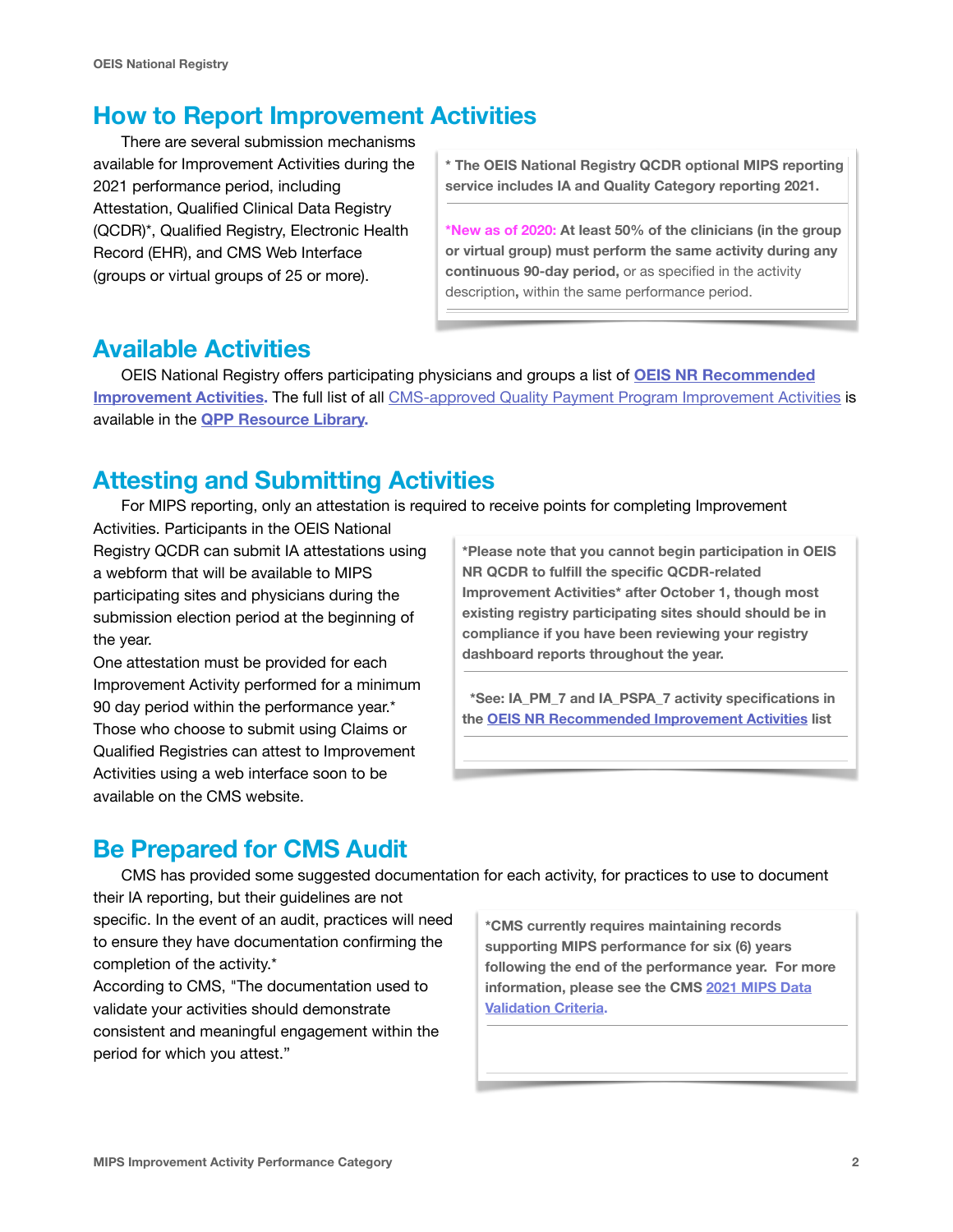## **How to Report Improvement Activities**

There are several submission mechanisms available for Improvement Activities during the 2021 performance period, including Attestation, Qualified Clinical Data Registry (QCDR)\*, Qualified Registry, Electronic Health Record (EHR), and CMS Web Interface (groups or virtual groups of 25 or more).

**\* The OEIS National Registry QCDR optional MIPS reporting service includes IA and Quality Category reporting 2021.** 

**\*New as of 2020: At least 50% of the clinicians (in the group or virtual group) must perform the same activity during any continuous 90-day period,** or as specified in the activity description**,** within the same performance period.

## **Available Activities**

OEIS National Registry offers participating physicians and groups a list of **[OEIS NR Recommended](https://oeisociety.com/wp-content/uploads/2021/09/2021-Improvement-Activities-List.pdf)  [Improvement Activities.](https://oeisociety.com/wp-content/uploads/2021/09/2021-Improvement-Activities-List.pdf) The full list of all CMS-approved [Quality Payment Program Improvement Activities](https://qpp-cm-prod-content.s3.amazonaws.com/uploads/1189/2021%20Improvement%20Activities%20List.zip) is** available in the **[QPP Resource Library](https://qpp.cms.gov/about/resource-library).**

## **Attesting and Submitting Activities**

For MIPS reporting, only an attestation is required to receive points for completing Improvement

Activities. Participants in the OEIS National Registry QCDR can submit IA attestations using a webform that will be available to MIPS participating sites and physicians during the submission election period at the beginning of the year.

One attestation must be provided for each Improvement Activity performed for a minimum 90 day period within the performance year.\* Those who choose to submit using Claims or Qualified Registries can attest to Improvement Activities using a web interface soon to be available on the CMS website.

**\*Please note that you cannot begin participation in OEIS NR QCDR to fulfill the specific QCDR-related Improvement Activities\* after October 1, though most existing registry participating sites should should be in compliance if you have been reviewing your registry dashboard reports throughout the year.** 

 **\*See: IA\_PM\_7 and IA\_PSPA\_7 activity specifications in the [OEIS NR Recommended Improvement Activities](https://oeisociety.com/wp-content/uploads/2021/09/2021-Improvement-Activities-List.pdf) list** 

# **Be Prepared for CMS Audit**

CMS has provided some suggested documentation for each activity, for practices to use to document

their IA reporting, but their guidelines are not specific. In the event of an audit, practices will need to ensure they have documentation confirming the completion of the activity.\*

According to CMS, "The documentation used to validate your activities should demonstrate consistent and meaningful engagement within the period for which you attest."

**\*CMS currently requires maintaining records supporting MIPS performance for six (6) years following the end of the performance year. For more information, please see the CMS [2021 MIPS Data](https://qpp-cm-prod-content.s3.amazonaws.com/uploads/1316/2021%20MIPS%20Data%20Validation%20Criteria.zip)  [Validation Criteria](https://qpp-cm-prod-content.s3.amazonaws.com/uploads/1316/2021%20MIPS%20Data%20Validation%20Criteria.zip).**